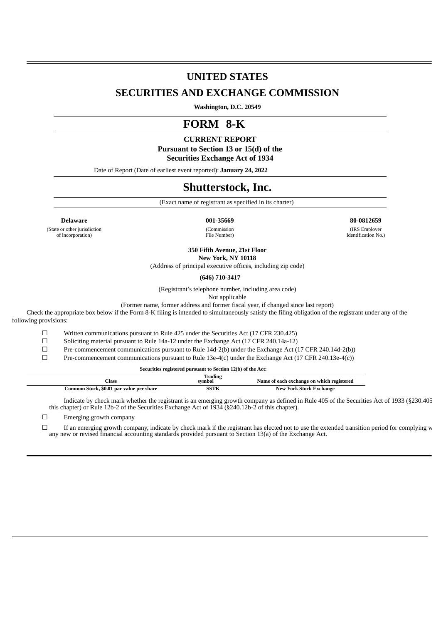# **UNITED STATES**

## **SECURITIES AND EXCHANGE COMMISSION**

**Washington, D.C. 20549**

# **FORM 8-K**

## **CURRENT REPORT**

**Pursuant to Section 13 or 15(d) of the Securities Exchange Act of 1934**

Date of Report (Date of earliest event reported): **January 24, 2022**

# **Shutterstock, Inc.**

(Exact name of registrant as specified in its charter)

(State or other jurisdiction of incorporation)

**Delaware 001-35669 80-0812659** (Commission File Number)

(IRS Employer Identification No.)

**350 Fifth Avenue, 21st Floor**

**New York, NY 10118** (Address of principal executive offices, including zip code)

**(646) 710-3417**

(Registrant's telephone number, including area code)

Not applicable

(Former name, former address and former fiscal year, if changed since last report)

Check the appropriate box below if the Form 8-K filing is intended to simultaneously satisfy the filing obligation of the registrant under any of the following provisions:

 $\Box$  Written communications pursuant to Rule 425 under the Securities Act (17 CFR 230.425)

 $\Box$  Soliciting material pursuant to Rule 14a-12 under the Exchange Act (17 CFR 240.14a-12)

☐ Pre-commencement communications pursuant to Rule 14d-2(b) under the Exchange Act (17 CFR 240.14d-2(b))

 $\square$  Pre-commencement communications pursuant to Rule 13e-4(c) under the Exchange Act (17 CFR 240.13e-4(c))

**Securities registered pursuant to Section 12(b) of the Act:**

| Class                                    | <b>Trading</b><br>symbol | Name of each exchange on which registered |
|------------------------------------------|--------------------------|-------------------------------------------|
| Common Stock, \$0.01 par value per share | SSTK                     | <b>New York Stock Exchange</b>            |

Indicate by check mark whether the registrant is an emerging growth company as defined in Rule 405 of the Securities Act of 1933 (§230.405 this chapter) or Rule 12b-2 of the Securities Exchange Act of 1934 (§240.12b-2 of this chapter).

☐ Emerging growth company

☐ If an emerging growth company, indicate by check mark if the registrant has elected not to use the extended transition period for complying w any new or revised financial accounting standards provided pursuant to Section 13(a) of the Exchange Act.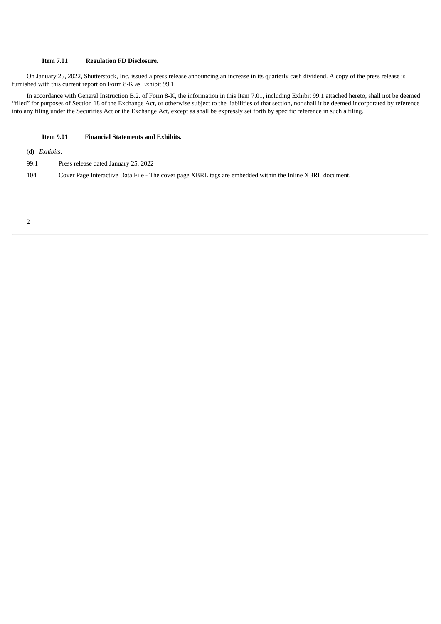## **Item 7.01 Regulation FD Disclosure.**

On January 25, 2022, Shutterstock, Inc. issued a press release announcing an increase in its quarterly cash dividend. A copy of the press release is furnished with this current report on Form 8-K as Exhibit 99.1.

In accordance with General Instruction B.2. of Form 8-K, the information in this Item 7.01, including Exhibit 99.1 attached hereto, shall not be deemed "filed" for purposes of Section 18 of the Exchange Act, or otherwise subject to the liabilities of that section, nor shall it be deemed incorporated by reference into any filing under the Securities Act or the Exchange Act, except as shall be expressly set forth by specific reference in such a filing.

#### **Item 9.01 Financial Statements and Exhibits.**

(d) *Exhibits*.

99.1 Press release dated January 25, 2022

104 Cover Page Interactive Data File - The cover page XBRL tags are embedded within the Inline XBRL document.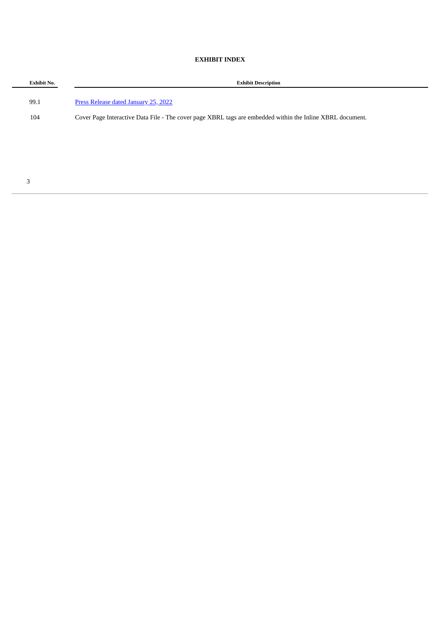## **EXHIBIT INDEX**

| <b>Exhibit No.</b> | <b>Exhibit Description</b>                                                                                |
|--------------------|-----------------------------------------------------------------------------------------------------------|
| 99.1               | Press Release dated January 25, 2022                                                                      |
| 104                | Cover Page Interactive Data File - The cover page XBRL tags are embedded within the Inline XBRL document. |
|                    |                                                                                                           |
|                    |                                                                                                           |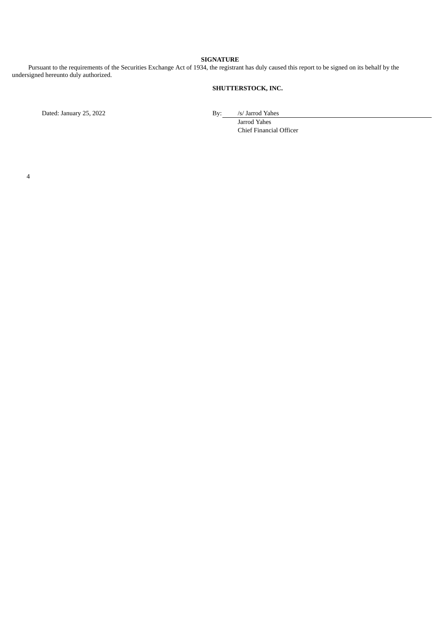### **SIGNATURE**

Pursuant to the requirements of the Securities Exchange Act of 1934, the registrant has duly caused this report to be signed on its behalf by the undersigned hereunto duly authorized.

## **SHUTTERSTOCK, INC.**

Dated: January 25, 2022 **By:** /s/ Jarrod Yahes

Jarrod Yahes Chief Financial Officer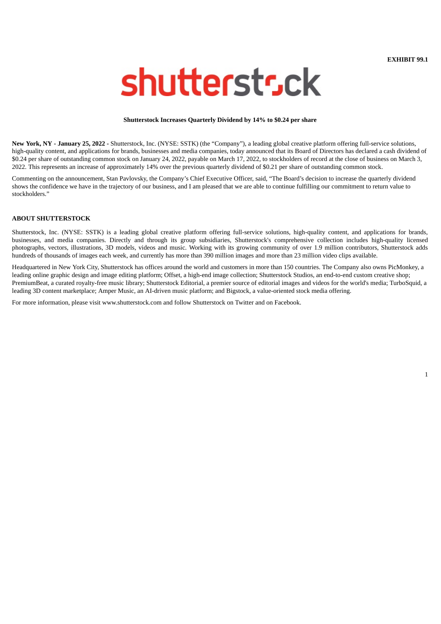**EXHIBIT 99.1**

# <span id="page-4-0"></span>shutterstsck

#### **Shutterstock Increases Quarterly Dividend by 14% to \$0.24 per share**

**New York, NY - January 25, 2022 -** Shutterstock, Inc. (NYSE: SSTK) (the "Company"), a leading global creative platform offering full-service solutions, high-quality content, and applications for brands, businesses and media companies, today announced that its Board of Directors has declared a cash dividend of \$0.24 per share of outstanding common stock on January 24, 2022, payable on March 17, 2022, to stockholders of record at the close of business on March 3, 2022. This represents an increase of approximately 14% over the previous quarterly dividend of \$0.21 per share of outstanding common stock.

Commenting on the announcement, Stan Pavlovsky, the Company's Chief Executive Officer, said, "The Board's decision to increase the quarterly dividend shows the confidence we have in the trajectory of our business, and I am pleased that we are able to continue fulfilling our commitment to return value to stockholders."

#### **ABOUT SHUTTERSTOCK**

Shutterstock, Inc. (NYSE: SSTK) is a leading global creative platform offering full-service solutions, high-quality content, and applications for brands, businesses, and media companies. Directly and through its group subsidiaries, Shutterstock's comprehensive collection includes high-quality licensed photographs, vectors, illustrations, 3D models, videos and music. Working with its growing community of over 1.9 million contributors, Shutterstock adds hundreds of thousands of images each week, and currently has more than 390 million images and more than 23 million video clips available.

Headquartered in New York City, Shutterstock has offices around the world and customers in more than 150 countries. The Company also owns PicMonkey, a leading online graphic design and image editing platform; Offset, a high-end image collection; Shutterstock Studios, an end-to-end custom creative shop; PremiumBeat, a curated royalty-free music library; Shutterstock Editorial, a premier source of editorial images and videos for the world's media; TurboSquid, a leading 3D content marketplace; Amper Music, an AI-driven music platform; and Bigstock, a value-oriented stock media offering.

For more information, please visit www.shutterstock.com and follow Shutterstock on Twitter and on Facebook.